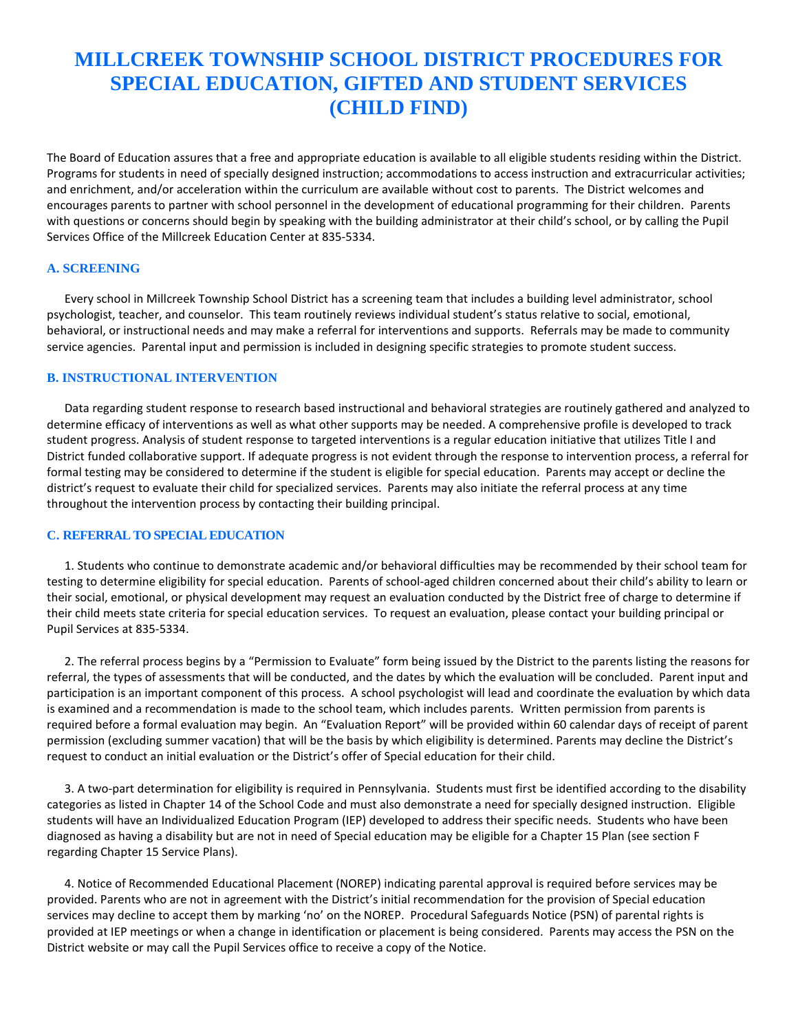# **MILLCREEK TOWNSHIP SCHOOL DISTRICT PROCEDURES FOR SPECIAL EDUCATION, GIFTED AND STUDENT SERVICES (CHILD FIND)**

The Board of Education assures that a free and appropriate education is available to all eligible students residing within the District. Programs for students in need of specially designed instruction; accommodations to access instruction and extracurricular activities; and enrichment, and/or acceleration within the curriculum are available without cost to parents. The District welcomes and encourages parents to partner with school personnel in the development of educational programming for their children. Parents with questions or concerns should begin by speaking with the building administrator at their child's school, or by calling the Pupil Services Office of the Millcreek Education Center at 835-5334.

#### **A. SCREENING**

Every school in Millcreek Township School District has a screening team that includes a building level administrator, school psychologist, teacher, and counselor. This team routinely reviews individual student's status relative to social, emotional, behavioral, or instructional needs and may make a referral for interventions and supports. Referrals may be made to community service agencies. Parental input and permission is included in designing specific strategies to promote student success.

#### **B. INSTRUCTIONAL INTERVENTION**

Data regarding student response to research based instructional and behavioral strategies are routinely gathered and analyzed to determine efficacy of interventions as well as what other supports may be needed. A comprehensive profile is developed to track student progress. Analysis of student response to targeted interventions is a regular education initiative that utilizes Title I and District funded collaborative support. If adequate progress is not evident through the response to intervention process, a referral for formal testing may be considered to determine if the student is eligible for special education. Parents may accept or decline the district's request to evaluate their child for specialized services. Parents may also initiate the referral process at any time throughout the intervention process by contacting their building principal.

#### **C. REFERRAL TO SPECIAL EDUCATION**

1. Students who continue to demonstrate academic and/or behavioral difficulties may be recommended by their school team for testing to determine eligibility for special education. Parents of school-aged children concerned about their child's ability to learn or their social, emotional, or physical development may request an evaluation conducted by the District free of charge to determine if their child meets state criteria for special education services. To request an evaluation, please contact your building principal or Pupil Services at 835-5334.

2. The referral process begins by a "Permission to Evaluate" form being issued by the District to the parents listing the reasons for referral, the types of assessments that will be conducted, and the dates by which the evaluation will be concluded. Parent input and participation is an important component of this process. A school psychologist will lead and coordinate the evaluation by which data is examined and a recommendation is made to the school team, which includes parents. Written permission from parents is required before a formal evaluation may begin. An "Evaluation Report" will be provided within 60 calendar days of receipt of parent permission (excluding summer vacation) that will be the basis by which eligibility is determined. Parents may decline the District's request to conduct an initial evaluation or the District's offer of Special education for their child.

3. A two-part determination for eligibility is required in Pennsylvania. Students must first be identified according to the disability categories as listed in Chapter 14 of the School Code and must also demonstrate a need for specially designed instruction. Eligible students will have an Individualized Education Program (IEP) developed to address their specific needs. Students who have been diagnosed as having a disability but are not in need of Special education may be eligible for a Chapter 15 Plan (see section F regarding Chapter 15 Service Plans).

4. Notice of Recommended Educational Placement (NOREP) indicating parental approval is required before services may be provided. Parents who are not in agreement with the District's initial recommendation for the provision of Special education services may decline to accept them by marking 'no' on the NOREP. Procedural Safeguards Notice (PSN) of parental rights is provided at IEP meetings or when a change in identification or placement is being considered. Parents may access the PSN on the District website or may call the Pupil Services office to receive a copy of the Notice.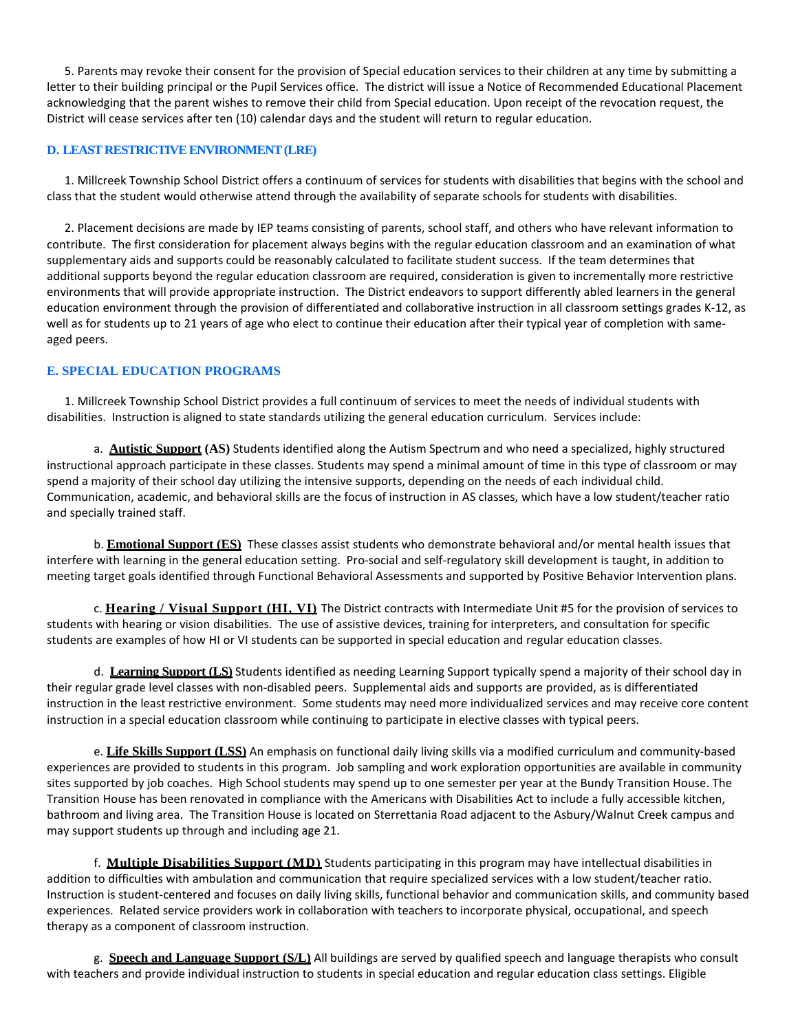5. Parents may revoke their consent for the provision of Special education services to their children at any time by submitting a letter to their building principal or the Pupil Services office. The district will issue a Notice of Recommended Educational Placement acknowledging that the parent wishes to remove their child from Special education. Upon receipt of the revocation request, the District will cease services after ten (10) calendar days and the student will return to regular education.

## **D. LEAST RESTRICTIVE ENVIRONMENT (LRE)**

1. Millcreek Township School District offers a continuum of services for students with disabilities that begins with the school and class that the student would otherwise attend through the availability of separate schools for students with disabilities.

2. Placement decisions are made by IEP teams consisting of parents, school staff, and others who have relevant information to contribute. The first consideration for placement always begins with the regular education classroom and an examination of what supplementary aids and supports could be reasonably calculated to facilitate student success. If the team determines that additional supports beyond the regular education classroom are required, consideration is given to incrementally more restrictive environments that will provide appropriate instruction. The District endeavors to support differently abled learners in the general education environment through the provision of differentiated and collaborative instruction in all classroom settings grades K-12, as well as for students up to 21 years of age who elect to continue their education after their typical year of completion with sameaged peers.

# **E. SPECIAL EDUCATION PROGRAMS**

1. Millcreek Township School District provides a full continuum of services to meet the needs of individual students with disabilities. Instruction is aligned to state standards utilizing the general education curriculum. Services include:

a. **Autistic Support (AS)** Students identified along the Autism Spectrum and who need a specialized, highly structured instructional approach participate in these classes. Students may spend a minimal amount of time in this type of classroom or may spend a majority of their school day utilizing the intensive supports, depending on the needs of each individual child. Communication, academic, and behavioral skills are the focus of instruction in AS classes, which have a low student/teacher ratio and specially trained staff.

b. **Emotional Support (ES)** These classes assist students who demonstrate behavioral and/or mental health issues that interfere with learning in the general education setting. Pro-social and self-regulatory skill development is taught, in addition to meeting target goals identified through Functional Behavioral Assessments and supported by Positive Behavior Intervention plans.

c. **Hearing / Visual Support (HI, VI)** The District contracts with Intermediate Unit #5 for the provision of services to students with hearing or vision disabilities. The use of assistive devices, training for interpreters, and consultation for specific students are examples of how HI or VI students can be supported in special education and regular education classes.

d. **Learning Support (LS)** Students identified as needing Learning Support typically spend a majority of their school day in their regular grade level classes with non-disabled peers. Supplemental aids and supports are provided, as is differentiated instruction in the least restrictive environment. Some students may need more individualized services and may receive core content instruction in a special education classroom while continuing to participate in elective classes with typical peers.

e. **Life Skills Support (LSS)** An emphasis on functional daily living skills via a modified curriculum and community-based experiences are provided to students in this program. Job sampling and work exploration opportunities are available in community sites supported by job coaches. High School students may spend up to one semester per year at the Bundy Transition House. The Transition House has been renovated in compliance with the Americans with Disabilities Act to include a fully accessible kitchen, bathroom and living area. The Transition House is located on Sterrettania Road adjacent to the Asbury/Walnut Creek campus and may support students up through and including age 21.

f. **Multiple Disabilities Support (MD)** Students participating in this program may have intellectual disabilities in addition to difficulties with ambulation and communication that require specialized services with a low student/teacher ratio. Instruction is student-centered and focuses on daily living skills, functional behavior and communication skills, and community based experiences. Related service providers work in collaboration with teachers to incorporate physical, occupational, and speech therapy as a component of classroom instruction.

g. **Speech and Language Support (S/L)** All buildings are served by qualified speech and language therapists who consult with teachers and provide individual instruction to students in special education and regular education class settings. Eligible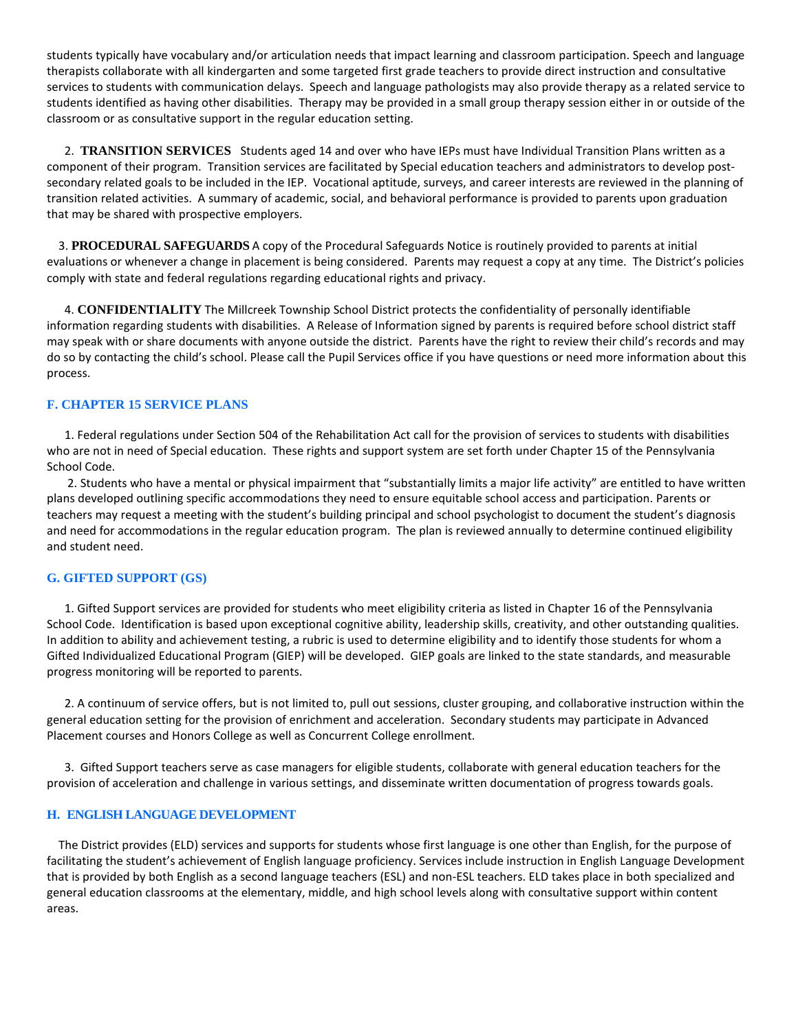students typically have vocabulary and/or articulation needs that impact learning and classroom participation. Speech and language therapists collaborate with all kindergarten and some targeted first grade teachers to provide direct instruction and consultative services to students with communication delays. Speech and language pathologists may also provide therapy as a related service to students identified as having other disabilities. Therapy may be provided in a small group therapy session either in or outside of the classroom or as consultative support in the regular education setting.

2. **TRANSITION SERVICES** Students aged 14 and over who have IEPs must have Individual Transition Plans written as a component of their program. Transition services are facilitated by Special education teachers and administrators to develop postsecondary related goals to be included in the IEP. Vocational aptitude, surveys, and career interests are reviewed in the planning of transition related activities. A summary of academic, social, and behavioral performance is provided to parents upon graduation that may be shared with prospective employers.

3. **PROCEDURAL SAFEGUARDS** A copy of the Procedural Safeguards Notice is routinely provided to parents at initial evaluations or whenever a change in placement is being considered. Parents may request a copy at any time. The District's policies comply with state and federal regulations regarding educational rights and privacy.

4. **CONFIDENTIALITY** The Millcreek Township School District protects the confidentiality of personally identifiable information regarding students with disabilities. A Release of Information signed by parents is required before school district staff may speak with or share documents with anyone outside the district. Parents have the right to review their child's records and may do so by contacting the child's school. Please call the Pupil Services office if you have questions or need more information about this process.

## **F. CHAPTER 15 SERVICE PLANS**

1. Federal regulations under Section 504 of the Rehabilitation Act call for the provision of services to students with disabilities who are not in need of Special education. These rights and support system are set forth under Chapter 15 of the Pennsylvania School Code.

2. Students who have a mental or physical impairment that "substantially limits a major life activity" are entitled to have written plans developed outlining specific accommodations they need to ensure equitable school access and participation. Parents or teachers may request a meeting with the student's building principal and school psychologist to document the student's diagnosis and need for accommodations in the regular education program. The plan is reviewed annually to determine continued eligibility and student need.

## **G. GIFTED SUPPORT (GS)**

1. Gifted Support services are provided for students who meet eligibility criteria as listed in Chapter 16 of the Pennsylvania School Code. Identification is based upon exceptional cognitive ability, leadership skills, creativity, and other outstanding qualities. In addition to ability and achievement testing, a rubric is used to determine eligibility and to identify those students for whom a Gifted Individualized Educational Program (GIEP) will be developed. GIEP goals are linked to the state standards, and measurable progress monitoring will be reported to parents.

2. A continuum of service offers, but is not limited to, pull out sessions, cluster grouping, and collaborative instruction within the general education setting for the provision of enrichment and acceleration. Secondary students may participate in Advanced Placement courses and Honors College as well as Concurrent College enrollment.

3. Gifted Support teachers serve as case managers for eligible students, collaborate with general education teachers for the provision of acceleration and challenge in various settings, and disseminate written documentation of progress towards goals.

## **H. ENGLISH LANGUAGE DEVELOPMENT**

The District provides (ELD) services and supports for students whose first language is one other than English, for the purpose of facilitating the student's achievement of English language proficiency. Services include instruction in English Language Development that is provided by both English as a second language teachers (ESL) and non-ESL teachers. ELD takes place in both specialized and general education classrooms at the elementary, middle, and high school levels along with consultative support within content areas.